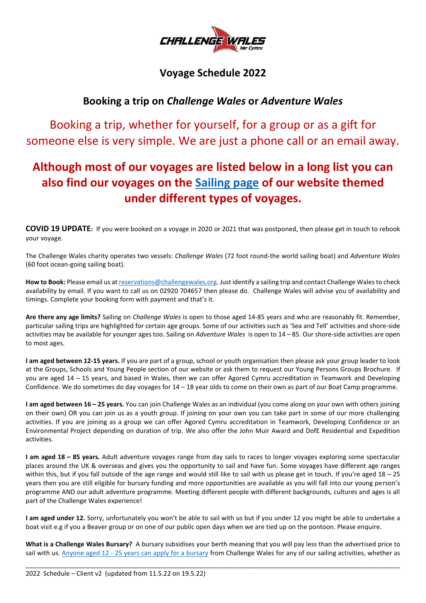

## **Voyage Schedule 2022**

# **Booking a trip on** *Challenge Wales* **or** *Adventure Wales*

Booking a trip, whether for yourself, for a group or as a gift for someone else is very simple. We are just a phone call or an email away.

# **Although most of our voyages are listed below in a long list you can also find our voyages on the [Sailing page](http://challengewales.org/sailing/) of our website themed under different types of voyages.**

**COVID 19 UPDATE:** If you were booked on a voyage in 2020 or 2021 that was postponed, then please get in touch to rebook your voyage.

The Challenge Wales charity operates two vessels: *Challenge Wales* (72 foot round-the world sailing boat) and *Adventure Wales*  (60 foot ocean-going sailing boat).

How to Book: Please email us a[t reservations@challengewales.org.](mailto:reservations@challengewales.org) Just identify a sailing trip and contact Challenge Wales to check availability by email. If you want to call us on 02920 704657 then please do. Challenge Wales will advise you of availability and timings. Complete your booking form with payment and that's it.

**Are there any age limits?** Sailing on *Challenge Wales* is open to those aged 14-85 years and who are reasonably fit. Remember, particular sailing trips are highlighted for certain age groups. Some of our activities such as 'Sea and Tell' activities and shore-side activities may be available for younger ages too. Sailing on *Adventure Wales* is open to 14 – 85. Our shore-side activities are open to most ages.

**I am aged between 12-15 years.** If you are part of a group, school or youth organisation then please ask your group leader to look at the Groups, Schools and Young People section of our website or ask them to request our Young Persons Groups Brochure. If you are aged 14 – 15 years, and based in Wales, then we can offer Agored Cymru accreditation in Teamwork and Developing Confidence. We do sometimes do day voyages for  $14 - 18$  year olds to come on their own as part of our Boat Camp programme.

**I am aged between 16 – 25 years***.* You can join Challenge Wales as an individual (you come along on your own with others joining on their own) OR you can join us as a youth group. If joining on your own you can take part in some of our more challenging activities. If you are joining as a group we can offer Agored Cymru accreditation in Teamwork, Developing Confidence or an Environmental Project depending on duration of trip. We also offer the John Muir Award and DofE Residential and Expedition activities.

**I am aged 18 – 85 years***.* Adult adventure voyages range from day sails to races to longer voyages exploring some spectacular places around the UK & overseas and gives you the opportunity to sail and have fun. Some voyages have different age ranges within this, but if you fall outside of the age range and would still like to sail with us please get in touch. If you're aged 18 – 25 years then you are still eligible for bursary funding and more opportunities are available as you will fall into our young person's programme AND our adult adventure programme. Meeting different people with different backgrounds, cultures and ages is all part of the Challenge Wales experience!

**I am aged under 12.** Sorry, unfortunately you won't be able to sail with us but if you under 12 you might be able to undertake a boat visit e.g if you a Beaver group or on one of our public open days when we are tied up on the pontoon. Please enquire.

**What is a Challenge Wales Bursary?** A bursary subsidises your berth meaning that you will pay less than the advertised price to sail with us. Anyone aged 12 - [25 years can apply for a bursary](https://challengewales.org/bursaries/) from Challenge Wales for any of our sailing activities, whether as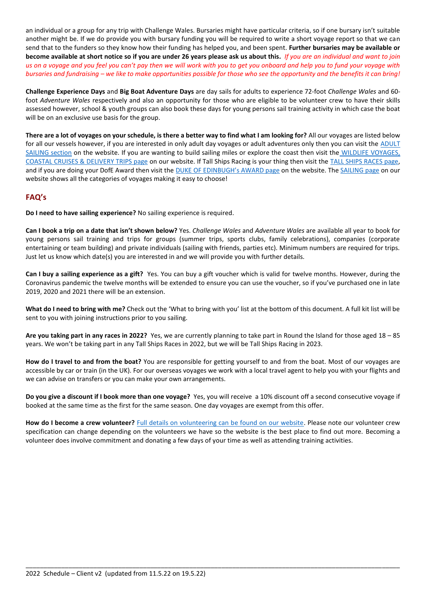an individual or a group for any trip with Challenge Wales. Bursaries might have particular criteria, so if one bursary isn't suitable another might be. If we do provide you with bursary funding you will be required to write a short voyage report so that we can send that to the funders so they know how their funding has helped you, and been spent. **Further bursaries may be available or become available at short notice so if you are under 26 years please ask us about this***. If you are an individual and want to join us on a voyage and you feel you can't pay then we will work with you to get you onboard and help you to fund your voyage with bursaries and fundraising – we like to make opportunities possible for those who see the opportunity and the benefits it can bring!*

**Challenge Experience Days** and **Big Boat Adventure Days** are day sails for adults to experience 72-foot *Challenge Wales* and 60 foot *Adventure Wales* respectively and also an opportunity for those who are eligible to be volunteer crew to have their skills assessed however, school & youth groups can also book these days for young persons sail training activity in which case the boat will be on an exclusive use basis for the group.

**There are a lot of voyages on your schedule, is there a better way to find what I am looking for?** All our voyages are listed below for all our vessels however, if you are interested in only adult day voyages or adult adventures only then you can visit the ADULT [SAILING section](https://challengewales.org/sailing/big-boat-sailing/) on the website. If you are wanting to build sailing miles or explore the coast then visit the [WILDLIFE VOYAGES,](https://challengewales.org/sailing/wildlife-voyages/)  [COASTAL CRUISES & DELIVERY TRIPS page](https://challengewales.org/sailing/wildlife-voyages/) on our website. If Tall Ships Racing is your thing then visit the [TALL SHIPS RACES page,](https://challengewales.org/sailing/tall-ships/) and if you are doing your DofE Award then visit the **[DUKE OF EDINBUGH's AWARD page](https://challengewales.org/sailing/duke-of-edinburghs-award-scheme/) on the website**. The **SAILING page on our** website shows all the categories of voyages making it easy to choose!

## **FAQ's**

**Do I need to have sailing experience?** No sailing experience is required.

**Can I book a trip on a date that isn't shown below?** Yes. *Challenge Wales* and *Adventure Wales* are available all year to book for young persons sail training and trips for groups (summer trips, sports clubs, family celebrations), companies (corporate entertaining or team building) and private individuals (sailing with friends, parties etc). Minimum numbers are required for trips. Just let us know which date(s) you are interested in and we will provide you with further details.

**Can I buy a sailing experience as a gift?** Yes. You can buy a gift voucher which is valid for twelve months. However, during the Coronavirus pandemic the twelve months will be extended to ensure you can use the voucher, so if you've purchased one in late 2019, 2020 and 2021 there will be an extension.

**What do I need to bring with me?** Check out the 'What to bring with you' list at the bottom of this document. A full kit list will be sent to you with joining instructions prior to you sailing.

**Are you taking part in any races in 2022?** Yes, we are currently planning to take part in Round the Island for those aged 18 – 85 years. We won't be taking part in any Tall Ships Races in 2022, but we will be Tall Ships Racing in 2023.

**How do I travel to and from the boat?** You are responsible for getting yourself to and from the boat. Most of our voyages are accessible by car or train (in the UK). For our overseas voyages we work with a local travel agent to help you with your flights and we can advise on transfers or you can make your own arrangements.

**Do you give a discount if I book more than one voyage?** Yes, you will receive a 10% discount off a second consecutive voyage if booked at the same time as the first for the same season. One day voyages are exempt from this offer.

**How do I become a crew volunteer?** [Full details on volunteering can be found on our website.](http://challengewales.org/volunteering/) Please note our volunteer crew specification can change depending on the volunteers we have so the website is the best place to find out more. Becoming a volunteer does involve commitment and donating a few days of your time as well as attending training activities.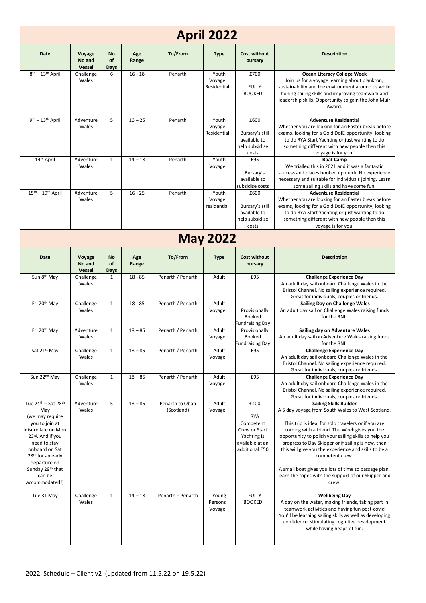| <b>April 2022</b>                                                                                                                                                                                                                                         |                            |                         |              |                               |                                |                                                                                                      |                                                                                                                                                                                                                                                                                                                                                                                                                                                                                                             |  |  |  |
|-----------------------------------------------------------------------------------------------------------------------------------------------------------------------------------------------------------------------------------------------------------|----------------------------|-------------------------|--------------|-------------------------------|--------------------------------|------------------------------------------------------------------------------------------------------|-------------------------------------------------------------------------------------------------------------------------------------------------------------------------------------------------------------------------------------------------------------------------------------------------------------------------------------------------------------------------------------------------------------------------------------------------------------------------------------------------------------|--|--|--|
| <b>Date</b>                                                                                                                                                                                                                                               | Voyage<br>No and<br>Vessel | <b>No</b><br>of<br>Days | Age<br>Range | To/From                       | <b>Type</b>                    | <b>Cost without</b><br>bursary                                                                       | <b>Description</b>                                                                                                                                                                                                                                                                                                                                                                                                                                                                                          |  |  |  |
| 8 <sup>th</sup> - 13 <sup>th</sup> April                                                                                                                                                                                                                  | Challenge<br>Wales         | 6                       | $16 - 18$    | Penarth                       | Youth<br>Voyage<br>Residential | £700<br><b>FULLY</b><br><b>BOOKED</b>                                                                | <b>Ocean Literacy College Week</b><br>Join us for a voyage learning about plankton,<br>sustainability and the environment around us while<br>honing sailing skills and improving teamwork and<br>leadership skills. Opportunity to gain the John Muir<br>Award.                                                                                                                                                                                                                                             |  |  |  |
| 9th - 13th April                                                                                                                                                                                                                                          | Adventure<br>Wales         | 5                       | $16 - 25$    | Penarth                       | Youth<br>Voyage<br>Residential | £600<br>Bursary's still<br>available to<br>help subsidise<br>costs                                   | <b>Adventure Residential</b><br>Whether you are looking for an Easter break before<br>exams, looking for a Gold DofE opportunity, looking<br>to do RYA Start Yachting or just wanting to do<br>something different with new people then this<br>voyage is for you.                                                                                                                                                                                                                                          |  |  |  |
| 14th April                                                                                                                                                                                                                                                | Adventure<br>Wales         | $\mathbf{1}$            | $14 - 18$    | Penarth                       | Youth<br>Voyage                | £95<br>Bursary's<br>available to<br>subsidise costs                                                  | <b>Boat Camp</b><br>We trialled this in 2021 and it was a fantastic<br>success and places booked up quick. No experience<br>necessary and suitable for individuals joining. Learn<br>some sailing skills and have some fun.                                                                                                                                                                                                                                                                                 |  |  |  |
| $15th - 19th$ April                                                                                                                                                                                                                                       | Adventure<br>Wales         | 5                       | $16 - 25$    | Penarth                       | Youth<br>Voyage<br>residential | £600<br>Bursary's still<br>available to<br>help subsidise<br>costs                                   | <b>Adventure Residential</b><br>Whether you are looking for an Easter break before<br>exams, looking for a Gold DofE opportunity, looking<br>to do RYA Start Yachting or just wanting to do<br>something different with new people then this<br>voyage is for you.                                                                                                                                                                                                                                          |  |  |  |
| <b>May 2022</b>                                                                                                                                                                                                                                           |                            |                         |              |                               |                                |                                                                                                      |                                                                                                                                                                                                                                                                                                                                                                                                                                                                                                             |  |  |  |
| <b>Date</b>                                                                                                                                                                                                                                               | Voyage<br>No and<br>Vessel | <b>No</b><br>of<br>Days | Age<br>Range | To/From                       | <b>Type</b>                    | <b>Cost without</b><br>bursary                                                                       | <b>Description</b>                                                                                                                                                                                                                                                                                                                                                                                                                                                                                          |  |  |  |
| Sun 8 <sup>th</sup> May                                                                                                                                                                                                                                   | Challenge<br>Wales         | $\mathbf{1}$            | $18 - 85$    | Penarth / Penarth             | Adult                          | £95                                                                                                  | <b>Challenge Experience Day</b><br>An adult day sail onboard Challenge Wales in the<br>Bristol Channel. No sailing experience required.<br>Great for individuals, couples or friends.                                                                                                                                                                                                                                                                                                                       |  |  |  |
| Fri 20 <sup>th</sup> May                                                                                                                                                                                                                                  | Challenge<br>Wales         | $\mathbf{1}$            | $18 - 85$    | Penarth / Penarth             | Adult<br>Voyage                | Provisionally<br>Booked<br><b>Fundraising Day</b>                                                    | <b>Sailing Day on Challenge Wales</b><br>An adult day sail on Challenge Wales raising funds<br>for the RNLI                                                                                                                                                                                                                                                                                                                                                                                                 |  |  |  |
| Fri 20 <sup>th</sup> May                                                                                                                                                                                                                                  | Adventure<br>Wales         | $\mathbf{1}$            | $18 - 85$    | Penarth / Penarth             | Adult<br>Voyage                | Provisionally<br>Booked<br><b>Fundraising Day</b>                                                    | Sailing day on Adventure Wales<br>An adult day sail on Adventure Wales raising funds<br>for the RNLI                                                                                                                                                                                                                                                                                                                                                                                                        |  |  |  |
| Sat 21st May                                                                                                                                                                                                                                              | Challenge<br>Wales         | $\mathbf{1}$            | $18 - 85$    | Penarth / Penarth             | Adult<br>Voyage                | £95                                                                                                  | <b>Challenge Experience Day</b><br>An adult day sail onboard Challenge Wales in the<br>Bristol Channel. No sailing experience required.<br>Great for individuals, couples or friends.                                                                                                                                                                                                                                                                                                                       |  |  |  |
| Sun 22 <sup>nd</sup> May                                                                                                                                                                                                                                  | Challenge<br>Wales         | $\mathbf 1$             | $18 - 85$    | Penarth / Penarth             | Adult<br>Voyage                | £95                                                                                                  | <b>Challenge Experience Day</b><br>An adult day sail onboard Challenge Wales in the<br>Bristol Channel. No sailing experience required.<br>Great for individuals, couples or friends.                                                                                                                                                                                                                                                                                                                       |  |  |  |
| Tue 24 <sup>th</sup> - Sat 28 <sup>th</sup><br>May<br>(we may require<br>you to join at<br>leisure late on Mon<br>23rd. And if you<br>need to stay<br>onboard on Sat<br>28th for an early<br>departure on<br>Sunday 29th that<br>can be<br>accommodated!) | Adventure<br>Wales         | 5                       | $18 - 85$    | Penarth to Oban<br>(Scotland) | Adult<br>Voyage                | £400<br><b>RYA</b><br>Competent<br>Crew or Start<br>Yachting is<br>available at an<br>additional £50 | <b>Sailing Skills Builder</b><br>A 5 day voyage from South Wales to West Scotland.<br>This trip is ideal for solo travelers or if you are<br>coming with a friend. The Week gives you the<br>opportunity to polish your sailing skills to help you<br>progress to Day Skipper or if sailing is new, then<br>this will give you the experience and skills to be a<br>competent crew.<br>A small boat gives you lots of time to passage plan,<br>learn the ropes with the support of our Skipper and<br>crew. |  |  |  |
| Tue 31 May                                                                                                                                                                                                                                                | Challenge<br>Wales         | $\mathbf{1}$            | $14 - 18$    | Penarth - Penarth             | Young<br>Persons<br>Voyage     | <b>FULLY</b><br><b>BOOKED</b>                                                                        | <b>Wellbeing Day</b><br>A day on the water, making friends, taking part in<br>teamwork activities and having fun post-covid<br>You'll be learning sailing skills as well as developing<br>confidence, stimulating cognitive development<br>while having heaps of fun.                                                                                                                                                                                                                                       |  |  |  |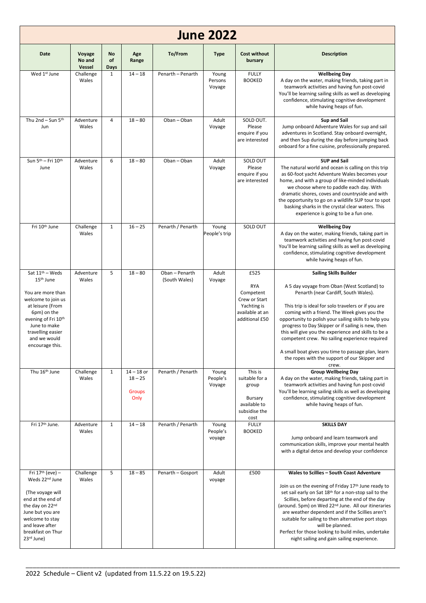| <b>June 2022</b>                                                                                                                                                                                                                              |                            |                         |                                                    |                                 |                             |                                                                                                      |                                                                                                                                                                                                                                                                                                                                                                                                                                                                                                                                                                      |  |  |
|-----------------------------------------------------------------------------------------------------------------------------------------------------------------------------------------------------------------------------------------------|----------------------------|-------------------------|----------------------------------------------------|---------------------------------|-----------------------------|------------------------------------------------------------------------------------------------------|----------------------------------------------------------------------------------------------------------------------------------------------------------------------------------------------------------------------------------------------------------------------------------------------------------------------------------------------------------------------------------------------------------------------------------------------------------------------------------------------------------------------------------------------------------------------|--|--|
| Date                                                                                                                                                                                                                                          | Voyage<br>No and<br>Vessel | <b>No</b><br>of<br>Days | Age<br>Range                                       | To/From                         | <b>Type</b>                 | <b>Cost without</b><br>bursary                                                                       | <b>Description</b>                                                                                                                                                                                                                                                                                                                                                                                                                                                                                                                                                   |  |  |
| Wed 1 <sup>st</sup> June                                                                                                                                                                                                                      | Challenge<br>Wales         | $\mathbf{1}$            | $14 - 18$                                          | Penarth - Penarth               | Young<br>Persons<br>Voyage  | <b>FULLY</b><br><b>BOOKED</b>                                                                        | <b>Wellbeing Day</b><br>A day on the water, making friends, taking part in<br>teamwork activities and having fun post-covid<br>You'll be learning sailing skills as well as developing<br>confidence, stimulating cognitive development<br>while having heaps of fun.                                                                                                                                                                                                                                                                                                |  |  |
| Thu 2nd - Sun 5th<br>Jun                                                                                                                                                                                                                      | Adventure<br>Wales         | 4                       | $18 - 80$                                          | Oban - Oban                     | Adult<br>Voyage             | SOLD OUT.<br>Please<br>enquire if you<br>are interested                                              | Sup and Sail<br>Jump onboard Adventure Wales for sup and sail<br>adventures in Scotland. Stay onboard overnight,<br>and then Sup during the day before jumping back<br>onboard for a fine cuisine, professionally prepared.                                                                                                                                                                                                                                                                                                                                          |  |  |
| Sun 5 <sup>th</sup> - Fri 10 <sup>th</sup><br>June                                                                                                                                                                                            | Adventure<br>Wales         | 6                       | $18 - 80$                                          | Oban - Oban                     | Adult<br>Voyage             | SOLD OUT<br>Please<br>enquire if you<br>are interested                                               | <b>SUP and Sail</b><br>The natural world and ocean is calling on this trip<br>as 60-foot yacht Adventure Wales becomes your<br>home, and with a group of like-minded individuals<br>we choose where to paddle each day. With<br>dramatic shores, coves and countryside and with<br>the opportunity to go on a wildlife SUP tour to spot<br>basking sharks in the crystal clear waters. This<br>experience is going to be a fun one.                                                                                                                                  |  |  |
| Fri 10 <sup>th</sup> June                                                                                                                                                                                                                     | Challenge<br>Wales         | $\mathbf{1}$            | $16 - 25$                                          | Penarth / Penarth               | Young<br>People's trip      | SOLD OUT                                                                                             | <b>Wellbeing Day</b><br>A day on the water, making friends, taking part in<br>teamwork activities and having fun post-covid<br>You'll be learning sailing skills as well as developing<br>confidence, stimulating cognitive development<br>while having heaps of fun.                                                                                                                                                                                                                                                                                                |  |  |
| Sat 11 <sup>th</sup> - Weds<br>15 <sup>th</sup> June<br>You are more than<br>welcome to join us<br>at leisure (From<br>6pm) on the<br>evening of Fri 10 <sup>th</sup><br>June to make<br>travelling easier<br>and we would<br>encourage this. | Adventure<br>Wales         | 5                       | $18 - 80$                                          | Oban - Penarth<br>(South Wales) | Adult<br>Voyage             | £525<br><b>RYA</b><br>Competent<br>Crew or Start<br>Yachting is<br>available at an<br>additional £50 | <b>Sailing Skills Builder</b><br>A 5 day voyage from Oban (West Scotland) to<br>Penarth (near Cardiff, South Wales).<br>This trip is ideal for solo travelers or if you are<br>coming with a friend. The Week gives you the<br>opportunity to polish your sailing skills to help you<br>progress to Day Skipper or if sailing is new, then<br>this will give you the experience and skills to be a<br>competent crew. No sailing experience required<br>A small boat gives you time to passage plan, learn<br>the ropes with the support of our Skipper and<br>crew. |  |  |
| Thu 16 <sup>th</sup> June                                                                                                                                                                                                                     | Challenge<br>Wales         | $\mathbf{1}$            | $14 - 18$ or<br>$18 - 25$<br><b>Groups</b><br>Only | Penarth / Penarth               | Young<br>People's<br>Voyage | This is<br>suitable for a<br>group<br>Bursary<br>available to<br>subsidise the<br>cost               | <b>Group Wellbeing Day</b><br>A day on the water, making friends, taking part in<br>teamwork activities and having fun post-covid<br>You'll be learning sailing skills as well as developing<br>confidence, stimulating cognitive development<br>while having heaps of fun.                                                                                                                                                                                                                                                                                          |  |  |
| Fri 17th June.                                                                                                                                                                                                                                | Adventure<br>Wales         | $\mathbf{1}$            | $14 - 18$                                          | Penarth / Penarth               | Young<br>People's<br>voyage | <b>FULLY</b><br><b>BOOKED</b>                                                                        | <b>SKILLS DAY</b><br>Jump onboard and learn teamwork and<br>communication skills, improve your mental health<br>with a digital detox and develop your confidence                                                                                                                                                                                                                                                                                                                                                                                                     |  |  |
| Fri $17th$ (eve) -<br>Weds 22 <sup>nd</sup> June<br>(The voyage will<br>end at the end of<br>the day on 22nd<br>June but you are<br>welcome to stay<br>and leave after<br>breakfast on Thur<br>23 <sup>rd</sup> June)                         | Challenge<br>Wales         | 5                       | $18 - 85$                                          | Penarth - Gosport               | Adult<br>voyage             | £500                                                                                                 | Wales to Scillies - South Coast Adventure<br>Join us on the evening of Friday 17th June ready to<br>set sail early on Sat 18th for a non-stop sail to the<br>Scillies, before departing at the end of the day<br>(around. 5pm) on Wed 22 <sup>nd</sup> June. All our itineraries<br>are weather dependent and if the Scillies aren't<br>suitable for sailing to then alternative port stops<br>will be planned.<br>Perfect for those looking to build miles, undertake<br>night sailing and gain sailing experience.                                                 |  |  |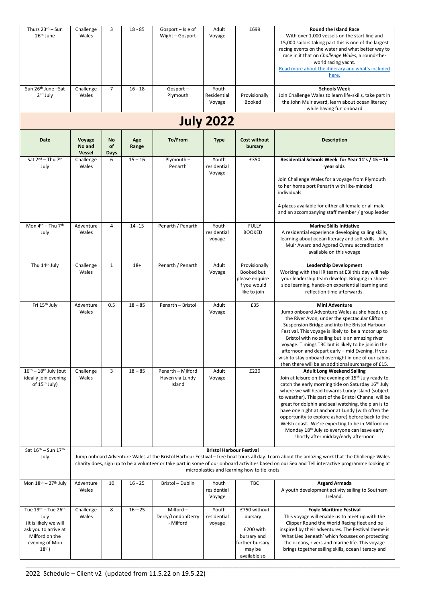| Thurs 23rd - Sun<br>26 <sup>th</sup> June                                                                                       | Challenge<br>Wales                                                                                                                                                                                                                                                                                                                                                                   | 3                       | $18 - 85$    | Gosport - Isle of<br>Wight - Gosport           | Adult<br>Voyage                | £699                                                                                             | <b>Round the Island Race</b><br>With over 1,000 vessels on the start line and<br>15,000 sailors taking part this is one of the largest<br>racing events on the water and what better way to<br>race in it that on Challenge Wales, a round-the-<br>world racing yacht.<br>Read more about the itinerary and what's included<br>here.                                                                                                                                                                                                                                                              |  |  |  |  |  |
|---------------------------------------------------------------------------------------------------------------------------------|--------------------------------------------------------------------------------------------------------------------------------------------------------------------------------------------------------------------------------------------------------------------------------------------------------------------------------------------------------------------------------------|-------------------------|--------------|------------------------------------------------|--------------------------------|--------------------------------------------------------------------------------------------------|---------------------------------------------------------------------------------------------------------------------------------------------------------------------------------------------------------------------------------------------------------------------------------------------------------------------------------------------------------------------------------------------------------------------------------------------------------------------------------------------------------------------------------------------------------------------------------------------------|--|--|--|--|--|
| Sun 26th June-Sat<br>$2nd$ July                                                                                                 | Challenge<br>Wales                                                                                                                                                                                                                                                                                                                                                                   | $\overline{7}$          | $16 - 18$    | Gosport-<br>Plymouth                           | Youth<br>Residential<br>Voyage | Provisionally<br><b>Booked</b>                                                                   | <b>Schools Week</b><br>Join Challenge Wales to learn life-skills, take part in<br>the John Muir award, learn about ocean literacy<br>while having fun onboard                                                                                                                                                                                                                                                                                                                                                                                                                                     |  |  |  |  |  |
|                                                                                                                                 | <b>July 2022</b>                                                                                                                                                                                                                                                                                                                                                                     |                         |              |                                                |                                |                                                                                                  |                                                                                                                                                                                                                                                                                                                                                                                                                                                                                                                                                                                                   |  |  |  |  |  |
| <b>Date</b>                                                                                                                     | Voyage<br>No and<br>Vessel                                                                                                                                                                                                                                                                                                                                                           | <b>No</b><br>of<br>Days | Age<br>Range | To/From                                        | <b>Type</b>                    | <b>Cost without</b><br>bursary                                                                   | <b>Description</b>                                                                                                                                                                                                                                                                                                                                                                                                                                                                                                                                                                                |  |  |  |  |  |
| Sat 2 <sup>nd</sup> - Thu 7 <sup>th</sup><br>July                                                                               | Challenge<br>Wales                                                                                                                                                                                                                                                                                                                                                                   | 6                       | $15 - 16$    | Plymouth -<br>Penarth                          | Youth<br>residential<br>Voyage | £350                                                                                             | Residential Schools Week for Year 11's / 15 - 16<br>year olds<br>Join Challenge Wales for a voyage from Plymouth<br>to her home port Penarth with like-minded<br>individuals.<br>4 places available for either all female or all male<br>and an accompanying staff member / group leader                                                                                                                                                                                                                                                                                                          |  |  |  |  |  |
| Mon $4th$ – Thu $7th$<br>July                                                                                                   | Adventure<br>Wales                                                                                                                                                                                                                                                                                                                                                                   | $\overline{4}$          | $14 - 15$    | Penarth / Penarth                              | Youth<br>residential<br>voyage | <b>FULLY</b><br><b>BOOKED</b>                                                                    | <b>Marine Skills Initiative</b><br>A residential experience developing sailing skills,<br>learning about ocean literacy and soft skills. John<br>Muir Award and Agored Cymru accreditation<br>available on this voyage                                                                                                                                                                                                                                                                                                                                                                            |  |  |  |  |  |
| Thu 14th July                                                                                                                   | Challenge<br>Wales                                                                                                                                                                                                                                                                                                                                                                   | $\mathbf{1}$            | $18+$        | Penarth / Penarth                              | Adult<br>Voyage                | Provisionally<br>Booked but<br>please enquire<br>if you would<br>like to join                    | <b>Leadership Development</b><br>Working with the HR team at E3i this day will help<br>your leadership team develop. Bringing in shore-<br>side learning, hands-on experiential learning and<br>reflection time afterwards.                                                                                                                                                                                                                                                                                                                                                                       |  |  |  |  |  |
| Fri 15th July                                                                                                                   | Adventure<br>Wales                                                                                                                                                                                                                                                                                                                                                                   | 0.5                     | $18 - 85$    | Penarth - Bristol                              | Adult<br>Voyage                | £35                                                                                              | <b>Mini Adventure</b><br>Jump onboard Adventure Wales as she heads up<br>the River Avon, under the spectacular Clifton<br>Suspension Bridge and into the Bristol Harbour<br>Festival. This voyage is likely to be a motor up to<br>Bristol with no sailing but is an amazing river<br>voyage. Timings TBC but is likely to be join in the<br>afternoon and depart early - mid Evening. If you<br>wish to stay onboard overnight in one of our cabins<br>then there will be an additional surcharge of £15.                                                                                        |  |  |  |  |  |
| $16th - 18th$ July (but<br>ideally join evening<br>of 15 <sup>th</sup> July)                                                    | Challenge<br>Wales                                                                                                                                                                                                                                                                                                                                                                   | 3                       | $18 - 85$    | Penarth - Milford<br>Haven via Lundy<br>Island | Adult<br>Voyage                | £220                                                                                             | <b>Adult Long Weekend Sailing</b><br>Join at leisure on the evening of 15 <sup>th</sup> July ready to<br>catch the early morning tide on Saturday 16th July<br>where we will head towards Lundy Island (subject<br>to weather). This part of the Bristol Channel will be<br>great for dolphin and seal watching, the plan is to<br>have one night at anchor at Lundy (with often the<br>opportunity to explore ashore) before back to the<br>Welsh coast. We're expecting to be in Milford on<br>Monday 18 <sup>th</sup> July so everyone can leave early<br>shortly after midday/early afternoon |  |  |  |  |  |
| Sat 16th - Sun 17th<br>July                                                                                                     | <b>Bristol Harbour Festival</b><br>Jump onboard Adventure Wales at the Bristol Harbour Festival - free boat tours all day. Learn about the amazing work that the Challenge Wales<br>charity does, sign up to be a volunteer or take part in some of our onboard activities based on our Sea and Tell interactive programme looking at<br>microplastics and learning how to tie knots |                         |              |                                                |                                |                                                                                                  |                                                                                                                                                                                                                                                                                                                                                                                                                                                                                                                                                                                                   |  |  |  |  |  |
| Mon 18th - 27th July                                                                                                            | Adventure<br>Wales                                                                                                                                                                                                                                                                                                                                                                   | 10                      | $16 - 25$    | Bristol - Dublin                               | Youth<br>residential<br>Voyage | TBC                                                                                              | <b>Asgard Armada</b><br>A youth development activity sailing to Southern<br>Ireland.                                                                                                                                                                                                                                                                                                                                                                                                                                                                                                              |  |  |  |  |  |
| Tue 19th - Tue 26th<br>July<br>(It is likely we will<br>ask you to arrive at<br>Milford on the<br>evening of Mon<br>$18^{th}$ ) | Challenge<br>Wales                                                                                                                                                                                                                                                                                                                                                                   | 8                       | $16 - 25$    | Milford-<br>Derry/LondonDerry<br>- Milford     | Youth<br>residential<br>voyage | £750 without<br>bursary<br>£200 with<br>bursary and<br>further bursary<br>may be<br>available so | <b>Foyle Maritime Festival</b><br>This voyage will enable us to meet up with the<br>Clipper Round the World Racing fleet and be<br>inspired by their adventures. The Festival theme is<br>'What Lies Beneath' which focusses on protecting<br>the oceans, rivers and marine life. This voyage<br>brings together sailing skills, ocean literacy and                                                                                                                                                                                                                                               |  |  |  |  |  |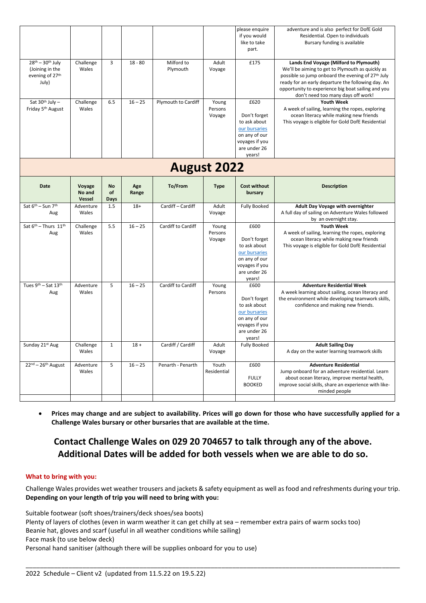| $28th - 30th$ July                                 | Challenge                  | $\overline{3}$          | $18 - 80$    | Milford to          | Adult                      | please enquire<br>if you would<br>like to take<br>part.<br>£175                                                    | adventure and is also perfect for DofE Gold<br>Residential. Open to individuals<br>Bursary funding is available<br>Lands End Voyage (Milford to Plymouth)                                                                                               |  |  |  |
|----------------------------------------------------|----------------------------|-------------------------|--------------|---------------------|----------------------------|--------------------------------------------------------------------------------------------------------------------|---------------------------------------------------------------------------------------------------------------------------------------------------------------------------------------------------------------------------------------------------------|--|--|--|
| (Joining in the<br>evening of 27th<br>July)        | Wales                      |                         |              | Plymouth            | Voyage                     |                                                                                                                    | We'll be aiming to get to Plymouth as quickly as<br>possible so jump onboard the evening of 27th July<br>ready for an early departure the following day. An<br>opportunity to experience big boat sailing and you<br>don't need too many days off work! |  |  |  |
| Sat $30th$ July -<br>Friday 5 <sup>th</sup> August | Challenge<br>Wales         | 6.5                     | $16 - 25$    | Plymouth to Cardiff | Young<br>Persons<br>Voyage | £620<br>Don't forget<br>to ask about<br>our bursaries<br>on any of our<br>voyages if you<br>are under 26<br>years! | <b>Youth Week</b><br>A week of sailing, learning the ropes, exploring<br>ocean literacy while making new friends<br>This voyage is eligible for Gold DofE Residential                                                                                   |  |  |  |
| <b>August 2022</b>                                 |                            |                         |              |                     |                            |                                                                                                                    |                                                                                                                                                                                                                                                         |  |  |  |
| <b>Date</b>                                        | Voyage<br>No and<br>Vessel | <b>No</b><br>of<br>Days | Age<br>Range | To/From             | <b>Type</b>                | <b>Cost without</b><br>bursary                                                                                     | <b>Description</b>                                                                                                                                                                                                                                      |  |  |  |
| Sat 6 <sup>th</sup> - Sun 7 <sup>th</sup><br>Aug   | Adventure<br>Wales         | 1.5                     | $18+$        | Cardiff - Cardiff   | Adult<br>Voyage            | <b>Fully Booked</b>                                                                                                | Adult Day Voyage with overnighter<br>A full day of sailing on Adventure Wales followed<br>by an overnight stay.                                                                                                                                         |  |  |  |
| Sat 6th - Thurs 11th<br>Aug                        | Challenge<br>Wales         | 5.5                     | $16 - 25$    | Cardiff to Cardiff  | Young<br>Persons<br>Voyage | £600<br>Don't forget<br>to ask about<br>our bursaries<br>on any of our<br>voyages if you<br>are under 26<br>years! | <b>Youth Week</b><br>A week of sailing, learning the ropes, exploring<br>ocean literacy while making new friends<br>This voyage is eligible for Gold DofE Residential                                                                                   |  |  |  |
| Tues 9th - Sat 13th<br>Aug                         | Adventure<br>Wales         | 5                       | $16 - 25$    | Cardiff to Cardiff  | Young<br>Persons           | £600<br>Don't forget<br>to ask about<br>our bursaries<br>on any of our<br>voyages if you<br>are under 26<br>years! | <b>Adventure Residential Week</b><br>A week learning about sailing, ocean literacy and<br>the environment while developing teamwork skills,<br>confidence and making new friends.                                                                       |  |  |  |
| Sunday 21st Aug                                    | Challenge<br>Wales         | $\mathbf{1}$            | $18 +$       | Cardiff / Cardiff   | Adult<br>Voyage            | Fully Booked                                                                                                       | <b>Adult Sailing Day</b><br>A day on the water learning teamwork skills                                                                                                                                                                                 |  |  |  |
| $22nd - 26th$ August                               | Adventure<br>Wales         | 5                       | $16 - 25$    | Penarth - Penarth   | Youth<br>Residential       | £600<br><b>FULLY</b><br><b>BOOKED</b>                                                                              | <b>Adventure Residential</b><br>Jump onboard for an adventure residential. Learn<br>about ocean literacy, improve mental health,<br>improve social skills, share an experience with like-<br>minded people                                              |  |  |  |

 **Prices may change and are subject to availability. Prices will go down for those who have successfully applied for a Challenge Wales bursary or other bursaries that are available at the time.**

## **Contact Challenge Wales on 029 20 704657 to talk through any of the above. Additional Dates will be added for both vessels when we are able to do so.**

### **What to bring with you:**

Challenge Wales provides wet weather trousers and jackets & safety equipment as well as food and refreshments during your trip. **Depending on your length of trip you will need to bring with you:**

\_\_\_\_\_\_\_\_\_\_\_\_\_\_\_\_\_\_\_\_\_\_\_\_\_\_\_\_\_\_\_\_\_\_\_\_\_\_\_\_\_\_\_\_\_\_\_\_\_\_\_\_\_\_\_\_\_\_\_\_\_\_\_\_\_\_\_\_\_\_\_\_\_\_\_\_\_\_\_\_\_\_\_\_\_\_\_\_\_\_\_\_\_\_\_\_\_\_\_\_\_\_\_\_\_

Suitable footwear (soft shoes/trainers/deck shoes/sea boots) Plenty of layers of clothes (even in warm weather it can get chilly at sea – remember extra pairs of warm socks too) Beanie hat, gloves and scarf (useful in all weather conditions while sailing) Face mask (to use below deck) Personal hand sanitiser (although there will be supplies onboard for you to use)